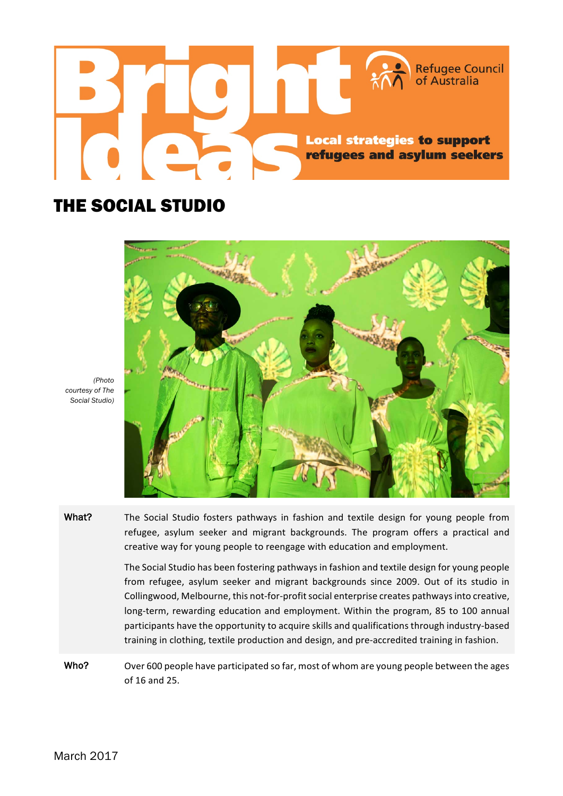

## THE SOCIAL STUDIO



*(Photo courtesy of The Social Studio)*

What? The Social Studio fosters pathways in fashion and textile design for young people from refugee, asylum seeker and migrant backgrounds. The program offers a practical and creative way for young people to reengage with education and employment.

> The Social Studio has been fostering pathways in fashion and textile design for young people from refugee, asylum seeker and migrant backgrounds since 2009. Out of its studio in Collingwood, Melbourne, this not-for-profit social enterprise creates pathways into creative, long-term, rewarding education and employment. Within the program, 85 to 100 annual participants have the opportunity to acquire skills and qualifications through industry-based training in clothing, textile production and design, and pre-accredited training in fashion.

Who? Over 600 people have participated so far, most of whom are young people between the ages of 16 and 25.